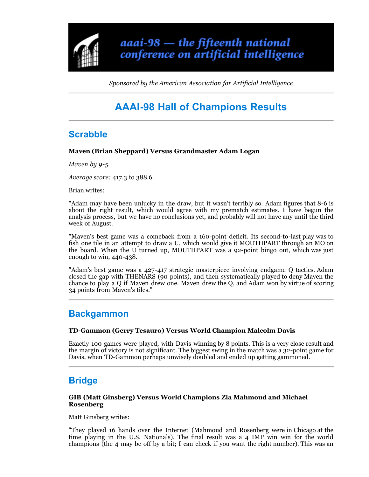

*Sponsored by the American Association for Artificial Intelligence*

# **AAAI-98 Hall of Champions Results**

### **Scrabble**

### **Maven (Brian Sheppard) Versus Grandmaster Adam Logan**

*Maven by 9-5.*

*Average score:* 417.3 to 388.6.

Brian writes:

"Adam may have been unlucky in the draw, but it wasn't terribly so. Adam figures that 8-6 is about the right result, which would agree with my prematch estimates. I have begun the analysis process, but we have no conclusions yet, and probably will not have any until the third week of August.

"Maven's best game was a comeback from a 160-point deficit. Its second-to-last play was to fish one tile in an attempt to draw a U, which would give it MOUTHPART through an MO on the board. When the U turned up, MOUTHPART was a 92-point bingo out, which was just enough to win, 440-438.

"Adam's best game was a 427-417 strategic masterpiece involving endgame Q tactics. Adam closed the gap with THENARS (90 points), and then systematically played to deny Maven the chance to play a Q if Maven drew one. Maven drew the Q, and Adam won by virtue of scoring 34 points from Maven's tiles."

### **Backgammon**

### **TD-Gammon (Gerry Tesauro) Versus World Champion Malcolm Davis**

Exactly 100 games were played, with Davis winning by 8 points. This is a very close result and the margin of victory is not significant. The biggest swing in the match was a 32-point game for Davis, when TD-Gammon perhaps unwisely doubled and ended up getting gammoned.

# **Bridge**

#### **GIB (Matt Ginsberg) Versus World Champions Zia Mahmoud and Michael Rosenberg**

Matt Ginsberg writes:

"They played 16 hands over the Internet (Mahmoud and Rosenberg were in Chicago at the time playing in the U.S. Nationals). The final result was a 4 IMP win win for the world champions (the 4 may be off by a bit; I can check if you want the right number). This was an